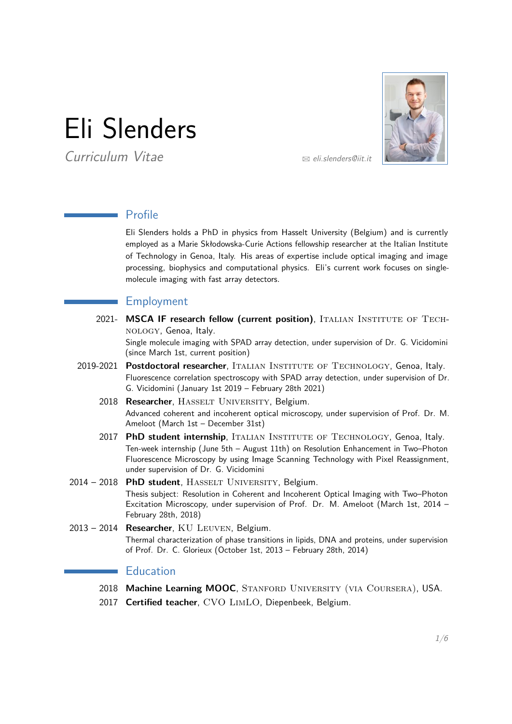# Eli Slenders

Curriculum Vitae  $\sum_{s}$  [eli.slenders@iit.it](mailto:eli.slenders@iit.it)



# Profile

Eli Slenders holds a PhD in physics from Hasselt University (Belgium) and is currently employed as a Marie Skłodowska-Curie Actions fellowship researcher at the Italian Institute of Technology in Genoa, Italy. His areas of expertise include optical imaging and image processing, biophysics and computational physics. Eli's current work focuses on singlemolecule imaging with fast array detectors.

# Employment

2021- MSCA IF research fellow (current position), ITALIAN INSTITUTE OF TECHnology, Genoa, Italy.

Single molecule imaging with SPAD array detection, under supervision of Dr. G. Vicidomini (since March 1st, current position)

- 2019-2021 **Postdoctoral researcher**, Italian Institute of Technology, Genoa, Italy. Fluorescence correlation spectroscopy with SPAD array detection, under supervision of Dr. G. Vicidomini (January 1st 2019 – February 28th 2021)
	- 2018 **Researcher**, HASSELT UNIVERSITY, Belgium. Advanced coherent and incoherent optical microscopy, under supervision of Prof. Dr. M. Ameloot (March 1st – December 31st)
	- 2017 PhD student internship, ITALIAN INSTITUTE OF TECHNOLOGY, Genoa, Italy. Ten-week internship (June 5th – August 11th) on Resolution Enhancement in Two–Photon Fluorescence Microscopy by using Image Scanning Technology with Pixel Reassignment, under supervision of Dr. G. Vicidomini

2014 – 2018 PhD student, HASSELT UNIVERSITY, Belgium. Thesis subject: Resolution in Coherent and Incoherent Optical Imaging with Two–Photon Excitation Microscopy, under supervision of Prof. Dr. M. Ameloot (March 1st, 2014 – February 28th, 2018)

2013 – 2014 **Researcher**, KU Leuven, Belgium. Thermal characterization of phase transitions in lipids, DNA and proteins, under supervision of Prof. Dr. C. Glorieux (October 1st, 2013 – February 28th, 2014)

# **Education**

- 2018 **Machine Learning MOOC**, Stanford University (via Coursera), USA.
- 2017 **Certified teacher**, CVO LimLO, Diepenbeek, Belgium.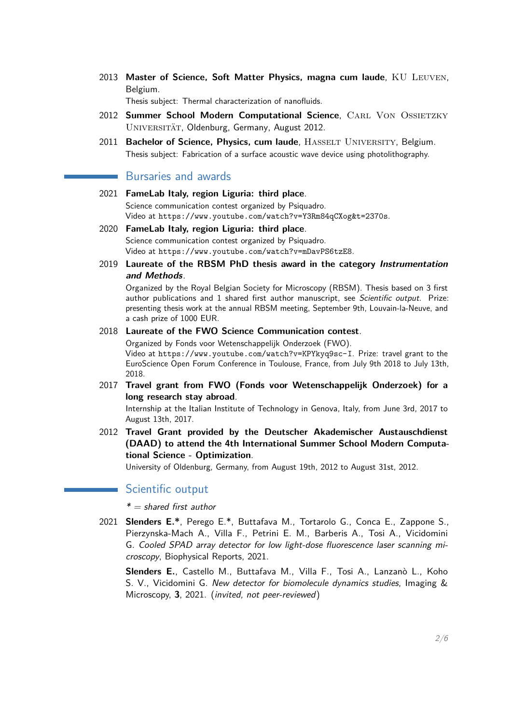2013 **Master of Science, Soft Matter Physics, magna cum laude**, KU Leuven, Belgium.

Thesis subject: Thermal characterization of nanofluids.

- 2012 **Summer School Modern Computational Science**, CARL VON OSSIETZKY UNIVERSITÄT, Oldenburg, Germany, August 2012.
- 2011 **Bachelor of Science, Physics, cum laude**, HASSELT UNIVERSITY, Belgium. Thesis subject: Fabrication of a surface acoustic wave device using photolithography.

#### Bursaries and awards

- 2021 **FameLab Italy, region Liguria: third place**. Science communication contest organized by Psiquadro. Video at <https://www.youtube.com/watch?v=Y3Rm84qCXog&t=2370s>.
- 2020 **FameLab Italy, region Liguria: third place**. Science communication contest organized by Psiquadro. Video at <https://www.youtube.com/watch?v=mDavPS6tzE8>.
- 2019 **Laureate of the RBSM PhD thesis award in the category Instrumentation and Methods**.

Organized by the Royal Belgian Society for Microscopy (RBSM). Thesis based on 3 first author publications and 1 shared first author manuscript, see Scientific output. Prize: presenting thesis work at the annual RBSM meeting, September 9th, Louvain-la-Neuve, and a cash prize of 1000 EUR.

#### 2018 **Laureate of the FWO Science Communication contest**.

Organized by Fonds voor Wetenschappelijk Onderzoek (FWO). Video at <https://www.youtube.com/watch?v=KPYkyq9sc-I>. Prize: travel grant to the EuroScience Open Forum Conference in Toulouse, France, from July 9th 2018 to July 13th, 2018.

2017 **Travel grant from FWO (Fonds voor Wetenschappelijk Onderzoek) for a long research stay abroad**.

Internship at the Italian Institute of Technology in Genova, Italy, from June 3rd, 2017 to August 13th, 2017.

2012 **Travel Grant provided by the Deutscher Akademischer Austauschdienst (DAAD) to attend the 4th International Summer School Modern Computational Science - Optimization**.

University of Oldenburg, Germany, from August 19th, 2012 to August 31st, 2012.

## Scientific output

 $* =$  shared first author

2021 **Slenders E.\***, Perego E.\*, Buttafava M., Tortarolo G., Conca E., Zappone S., Pierzynska-Mach A., Villa F., Petrini E. M., Barberis A., Tosi A., Vicidomini G. Cooled SPAD array detector for low light-dose fluorescence laser scanning microscopy, Biophysical Reports, 2021.

**Slenders E.**, Castello M., Buttafava M., Villa F., Tosi A., Lanzanò L., Koho S. V., Vicidomini G. New detector for biomolecule dynamics studies, Imaging & Microscopy, **3**, 2021. (invited, not peer-reviewed)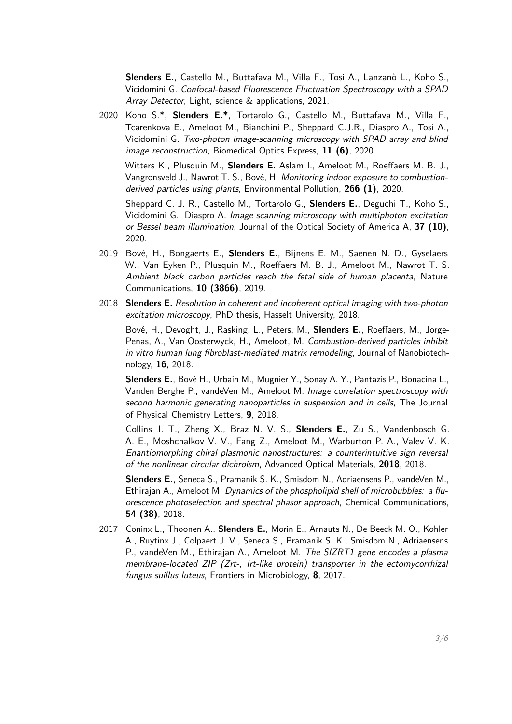**Slenders E.**, Castello M., Buttafava M., Villa F., Tosi A., Lanzanò L., Koho S., Vicidomini G. Confocal-based Fluorescence Fluctuation Spectroscopy with a SPAD Array Detector, Light, science & applications, 2021.

2020 Koho S.\*, **Slenders E.\***, Tortarolo G., Castello M., Buttafava M., Villa F., Tcarenkova E., Ameloot M., Bianchini P., Sheppard C.J.R., Diaspro A., Tosi A., Vicidomini G. Two-photon image-scanning microscopy with SPAD array and blind image reconstruction, Biomedical Optics Express, **11 (6)**, 2020.

Witters K., Plusquin M., **Slenders E.** Aslam I., Ameloot M., Roeffaers M. B. J., Vangronsveld J., Nawrot T. S., Bové, H. Monitoring indoor exposure to combustionderived particles using plants, Environmental Pollution, **266 (1)**, 2020.

Sheppard C. J. R., Castello M., Tortarolo G., **Slenders E.**, Deguchi T., Koho S., Vicidomini G., Diaspro A. Image scanning microscopy with multiphoton excitation or Bessel beam illumination, Journal of the Optical Society of America A, **37 (10)**, 2020.

- 2019 Bové, H., Bongaerts E., **Slenders E.**, Bijnens E. M., Saenen N. D., Gyselaers W., Van Eyken P., Plusquin M., Roeffaers M. B. J., Ameloot M., Nawrot T. S. Ambient black carbon particles reach the fetal side of human placenta, Nature Communications, **10 (3866)**, 2019.
- 2018 **Slenders E.** Resolution in coherent and incoherent optical imaging with two-photon excitation microscopy, PhD thesis, Hasselt University, 2018.

Bové, H., Devoght, J., Rasking, L., Peters, M., **Slenders E.**, Roeffaers, M., Jorge-Penas, A., Van Oosterwyck, H., Ameloot, M. Combustion-derived particles inhibit in vitro human lung fibroblast-mediated matrix remodeling, Journal of Nanobiotechnology, **16**, 2018.

**Slenders E.**, Bové H., Urbain M., Mugnier Y., Sonay A. Y., Pantazis P., Bonacina L., Vanden Berghe P., vandeVen M., Ameloot M. Image correlation spectroscopy with second harmonic generating nanoparticles in suspension and in cells, The Journal of Physical Chemistry Letters, **9**, 2018.

Collins J. T., Zheng X., Braz N. V. S., **Slenders E.**, Zu S., Vandenbosch G. A. E., Moshchalkov V. V., Fang Z., Ameloot M., Warburton P. A., Valev V. K. Enantiomorphing chiral plasmonic nanostructures: a counterintuitive sign reversal of the nonlinear circular dichroism, Advanced Optical Materials, **2018**, 2018.

**Slenders E.**, Seneca S., Pramanik S. K., Smisdom N., Adriaensens P., vandeVen M., Ethirajan A., Ameloot M. Dynamics of the phospholipid shell of microbubbles: a fluorescence photoselection and spectral phasor approach, Chemical Communications, **54 (38)**, 2018.

2017 Coninx L., Thoonen A., **Slenders E.**, Morin E., Arnauts N., De Beeck M. O., Kohler A., Ruytinx J., Colpaert J. V., Seneca S., Pramanik S. K., Smisdom N., Adriaensens P., vandeVen M., Ethirajan A., Ameloot M. The SIZRT1 gene encodes a plasma membrane-located ZIP (Zrt-, Irt-like protein) transporter in the ectomycorrhizal fungus suillus luteus, Frontiers in Microbiology, **8**, 2017.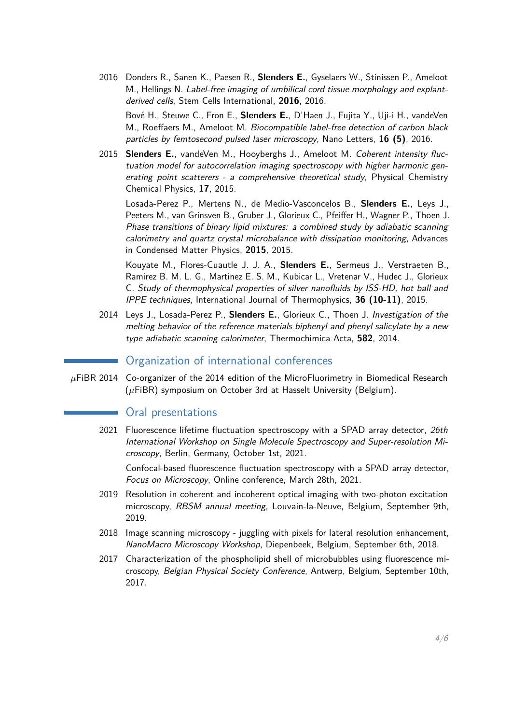2016 Donders R., Sanen K., Paesen R., **Slenders E.**, Gyselaers W., Stinissen P., Ameloot M., Hellings N. Label-free imaging of umbilical cord tissue morphology and explantderived cells, Stem Cells International, **2016**, 2016.

Bové H., Steuwe C., Fron E., **Slenders E.**, D'Haen J., Fujita Y., Uji-i H., vandeVen M., Roeffaers M., Ameloot M. Biocompatible label-free detection of carbon black particles by femtosecond pulsed laser microscopy, Nano Letters, **16 (5)**, 2016.

2015 **Slenders E.**, vandeVen M., Hooyberghs J., Ameloot M. Coherent intensity fluctuation model for autocorrelation imaging spectroscopy with higher harmonic generating point scatterers - a comprehensive theoretical study, Physical Chemistry Chemical Physics, **17**, 2015.

Losada-Perez P., Mertens N., de Medio-Vasconcelos B., **Slenders E.**, Leys J., Peeters M., van Grinsven B., Gruber J., Glorieux C., Pfeiffer H., Wagner P., Thoen J. Phase transitions of binary lipid mixtures: a combined study by adiabatic scanning calorimetry and quartz crystal microbalance with dissipation monitoring, Advances in Condensed Matter Physics, **2015**, 2015.

Kouyate M., Flores-Cuautle J. J. A., **Slenders E.**, Sermeus J., Verstraeten B., Ramirez B. M. L. G., Martinez E. S. M., Kubicar L., Vretenar V., Hudec J., Glorieux C. Study of thermophysical properties of silver nanofluids by ISS-HD, hot ball and IPPE techniques, International Journal of Thermophysics, **36 (10-11)**, 2015.

2014 Leys J., Losada-Perez P., **Slenders E.**, Glorieux C., Thoen J. Investigation of the melting behavior of the reference materials biphenyl and phenyl salicylate by a new type adiabatic scanning calorimeter, Thermochimica Acta, **582**, 2014.

#### Organization of international conferences

*µ*FiBR 2014 Co-organizer of the 2014 edition of the MicroFluorimetry in Biomedical Research (*µ*FiBR) symposium on October 3rd at Hasselt University (Belgium).

## Oral presentations

2021 Fluorescence lifetime fluctuation spectroscopy with a SPAD array detector, 26th International Workshop on Single Molecule Spectroscopy and Super-resolution Microscopy, Berlin, Germany, October 1st, 2021.

Confocal-based fluorescence fluctuation spectroscopy with a SPAD array detector, Focus on Microscopy, Online conference, March 28th, 2021.

- 2019 Resolution in coherent and incoherent optical imaging with two-photon excitation microscopy, RBSM annual meeting, Louvain-la-Neuve, Belgium, September 9th, 2019.
- 2018 Image scanning microscopy juggling with pixels for lateral resolution enhancement, NanoMacro Microscopy Workshop, Diepenbeek, Belgium, September 6th, 2018.
- 2017 Characterization of the phospholipid shell of microbubbles using fluorescence microscopy, Belgian Physical Society Conference, Antwerp, Belgium, September 10th, 2017.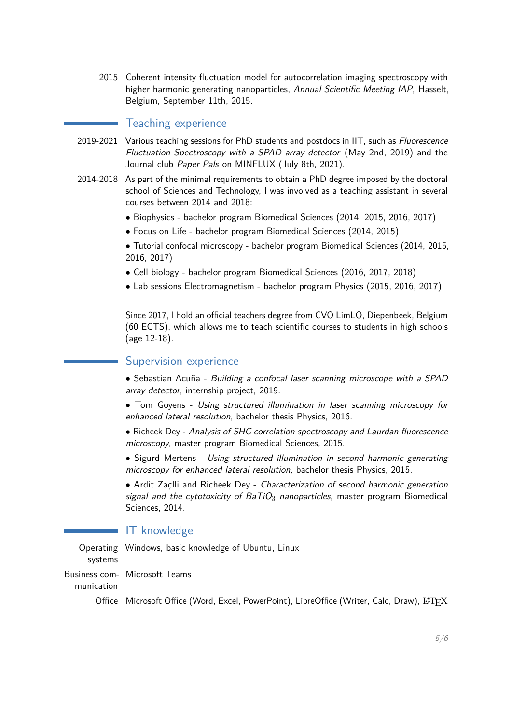2015 Coherent intensity fluctuation model for autocorrelation imaging spectroscopy with higher harmonic generating nanoparticles, Annual Scientific Meeting IAP, Hasselt, Belgium, September 11th, 2015.

## Teaching experience

- 2019-2021 Various teaching sessions for PhD students and postdocs in IIT, such as Fluorescence Fluctuation Spectroscopy with a SPAD array detector (May 2nd, 2019) and the Journal club Paper Pals on MINFLUX (July 8th, 2021).
- 2014-2018 As part of the minimal requirements to obtain a PhD degree imposed by the doctoral school of Sciences and Technology, I was involved as a teaching assistant in several courses between 2014 and 2018:
	- Biophysics bachelor program Biomedical Sciences (2014, 2015, 2016, 2017)
	- Focus on Life bachelor program Biomedical Sciences (2014, 2015)

• Tutorial confocal microscopy - bachelor program Biomedical Sciences (2014, 2015, 2016, 2017)

- Cell biology bachelor program Biomedical Sciences (2016, 2017, 2018)
- Lab sessions Electromagnetism bachelor program Physics (2015, 2016, 2017)

Since 2017, I hold an official teachers degree from CVO LimLO, Diepenbeek, Belgium (60 ECTS), which allows me to teach scientific courses to students in high schools (age 12-18).

## Supervision experience

• Sebastian Acuña - Building a confocal laser scanning microscope with a SPAD array detector, internship project, 2019.

• Tom Goyens - Using structured illumination in laser scanning microscopy for enhanced lateral resolution, bachelor thesis Physics, 2016.

- Richeek Dey Analysis of SHG correlation spectroscopy and Laurdan fluorescence microscopy, master program Biomedical Sciences, 2015.
- Sigurd Mertens Using structured illumination in second harmonic generating microscopy for enhanced lateral resolution, bachelor thesis Physics, 2015.

• Ardit Zaçlli and Richeek Dey - Characterization of second harmonic generation signal and the cytotoxicity of  $BaTiO<sub>3</sub>$  nanoparticles, master program Biomedical Sciences, 2014.

## IT knowledge

Operating Windows, basic knowledge of Ubuntu, Linux systems

Business com-Microsoft Teams

munication

Office Microsoft Office (Word, Excel, PowerPoint), LibreOffice (Writer, Calc, Draw), LATFX